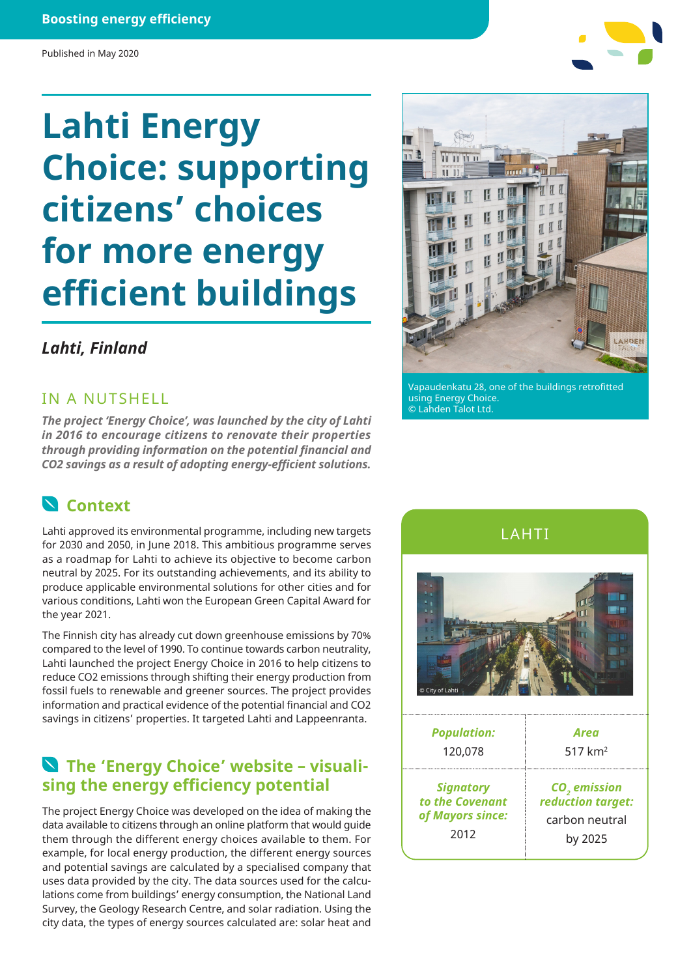#### **Boosting energy efficiency**

#### Published in May 2020

# **Lahti Energy Choice: supporting citizens' choices for more energy efficient buildings**

#### *Lahti, Finland*

#### IN A NUTSHELL

*The project 'Energy Choice', was launched by the city of Lahti in 2016 to encourage citizens to renovate their properties through providing information on the potential financial and CO2 savings as a result of adopting energy-efficient solutions.*

#### **Context**

Lahti approved its environmental programme, including new targets for 2030 and 2050, in June 2018. This ambitious programme serves as a roadmap for Lahti to achieve its objective to become carbon neutral by 2025. For its outstanding achievements, and its ability to produce applicable environmental solutions for other cities and for various conditions, Lahti won the European Green Capital Award for the year 2021.

The Finnish city has already cut down greenhouse emissions by 70% compared to the level of 1990. To continue towards carbon neutrality, Lahti launched the project Energy Choice in 2016 to help citizens to reduce CO2 emissions through shifting their energy production from fossil fuels to renewable and greener sources. The project provides information and practical evidence of the potential financial and CO2 savings in citizens' properties. It targeted Lahti and Lappeenranta.

#### **The 'Energy Choice' website – visualising the energy efficiency potential**

The project Energy Choice was developed on the idea of making the data available to citizens through an online platform that would guide them through the different energy choices available to them. For example, for local energy production, the different energy sources and potential savings are calculated by a specialised company that uses data provided by the city. The data sources used for the calculations come from buildings' energy consumption, the National Land Survey, the Geology Research Centre, and solar radiation. Using the city data, the types of energy sources calculated are: solar heat and



using Energy Choice. © Lahden Talot Ltd.

Carma h u h u  $1111$ 

**IF HID** 

#### LAHTI